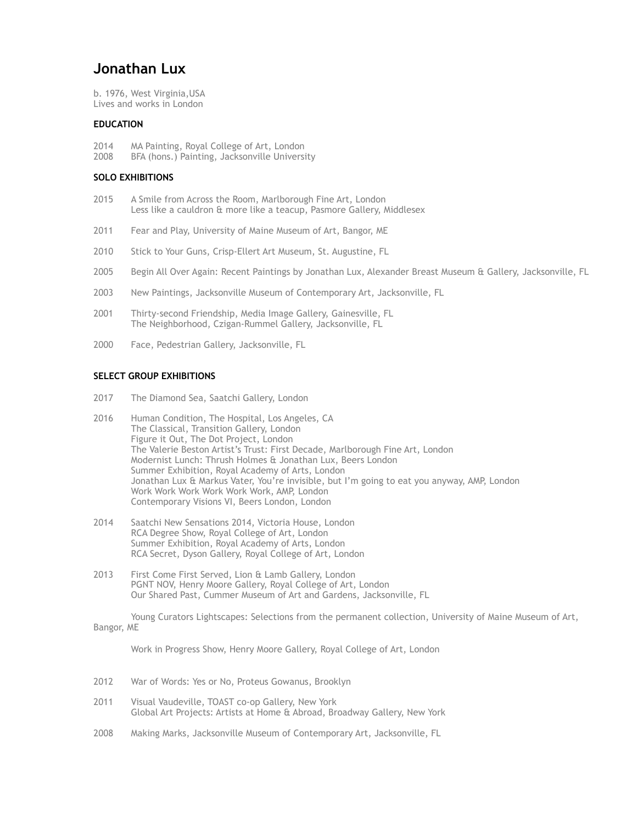# **Jonathan Lux**

b. 1976, West Virginia,USA Lives and works in London

## **EDUCATION**

- 2014 MA Painting, Royal College of Art, London<br>2008 BFA (hons.) Painting, Jacksonville Universi
- BFA (hons.) Painting, Jacksonville University

# **SOLO EXHIBITIONS**

- 2015 A Smile from Across the Room, Marlborough Fine Art, London Less like a cauldron & more like a teacup, Pasmore Gallery, Middlesex
- 2011 Fear and Play, University of Maine Museum of Art, Bangor, ME
- 2010 Stick to Your Guns, Crisp-Ellert Art Museum, St. Augustine, FL
- 2005 Begin All Over Again: Recent Paintings by Jonathan Lux, Alexander Breast Museum & Gallery, Jacksonville, FL
- 2003 New Paintings, Jacksonville Museum of Contemporary Art, Jacksonville, FL
- 2001 Thirty-second Friendship, Media Image Gallery, Gainesville, FL The Neighborhood, Czigan-Rummel Gallery, Jacksonville, FL
- 2000 Face, Pedestrian Gallery, Jacksonville, FL

## **SELECT GROUP EXHIBITIONS**

- 2017 The Diamond Sea, Saatchi Gallery, London
- 2016 Human Condition, The Hospital, Los Angeles, CA The Classical, Transition Gallery, London Figure it Out, The Dot Project, London The Valerie Beston Artist's Trust: First Decade, Marlborough Fine Art, London Modernist Lunch: Thrush Holmes & Jonathan Lux, Beers London Summer Exhibition, Royal Academy of Arts, London Jonathan Lux & Markus Vater, You're invisible, but I'm going to eat you anyway, AMP, London Work Work Work Work Work Work, AMP, London Contemporary Visions VI, Beers London, London
- 2014 Saatchi New Sensations 2014, Victoria House, London RCA Degree Show, Royal College of Art, London Summer Exhibition, Royal Academy of Arts, London RCA Secret, Dyson Gallery, Royal College of Art, London
- 2013 First Come First Served, Lion & Lamb Gallery, London PGNT NOV, Henry Moore Gallery, Royal College of Art, London Our Shared Past, Cummer Museum of Art and Gardens, Jacksonville, FL

 Young Curators Lightscapes: Selections from the permanent collection, University of Maine Museum of Art, Bangor, ME

Work in Progress Show, Henry Moore Gallery, Royal College of Art, London

- 2012 War of Words: Yes or No, Proteus Gowanus, Brooklyn
- 2011 Visual Vaudeville, TOAST co-op Gallery, New York Global Art Projects: Artists at Home & Abroad, Broadway Gallery, New York
- 2008 Making Marks, Jacksonville Museum of Contemporary Art, Jacksonville, FL